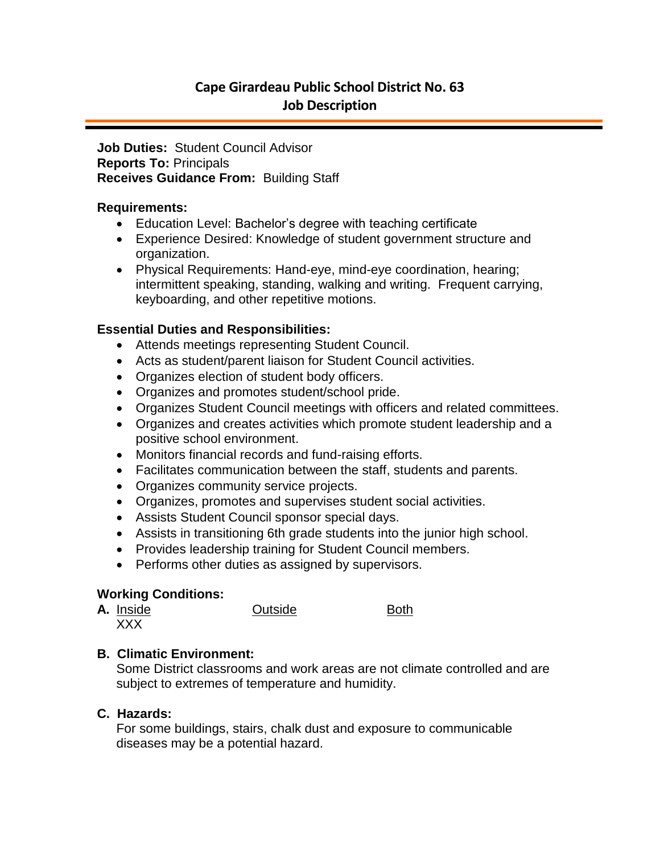## **Cape Girardeau Public School District No. 63 Job Description**

#### **Job Duties:** Student Council Advisor **Reports To:** Principals **Receives Guidance From:** Building Staff

#### **Requirements:**

- Education Level: Bachelor's degree with teaching certificate
- Experience Desired: Knowledge of student government structure and organization.
- Physical Requirements: Hand-eye, mind-eye coordination, hearing; intermittent speaking, standing, walking and writing. Frequent carrying, keyboarding, and other repetitive motions.

## **Essential Duties and Responsibilities:**

- Attends meetings representing Student Council.
- Acts as student/parent liaison for Student Council activities.
- Organizes election of student body officers.
- Organizes and promotes student/school pride.
- Organizes Student Council meetings with officers and related committees.
- Organizes and creates activities which promote student leadership and a positive school environment.
- Monitors financial records and fund-raising efforts.
- Facilitates communication between the staff, students and parents.
- Organizes community service projects.
- Organizes, promotes and supervises student social activities.
- Assists Student Council sponsor special days.
- Assists in transitioning 6th grade students into the junior high school.
- Provides leadership training for Student Council members.
- Performs other duties as assigned by supervisors.

#### **Working Conditions:**

|  | A. Inside | Outside |  |
|--|-----------|---------|--|
|  | vvv<br>.  |         |  |

# **B. Climatic Environment:**

Some District classrooms and work areas are not climate controlled and are subject to extremes of temperature and humidity.

## **C. Hazards:**

For some buildings, stairs, chalk dust and exposure to communicable diseases may be a potential hazard.